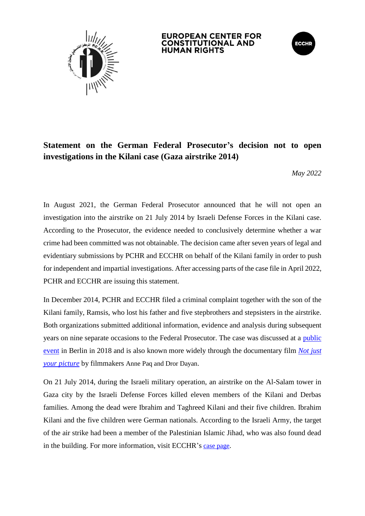

# **EUROPEAN CENTER FOR NSTITUTIONAL AND**



# **Statement on the German Federal Prosecutor's decision not to open investigations in the Kilani case (Gaza airstrike 2014)**

*May 2022*

In August 2021, the German Federal Prosecutor announced that he will not open an investigation into the airstrike on 21 July 2014 by Israeli Defense Forces in the Kilani case. According to the Prosecutor, the evidence needed to conclusively determine whether a war crime had been committed was not obtainable. The decision came after seven years of legal and evidentiary submissions by PCHR and ECCHR on behalf of the Kilani family in order to push for independent and impartial investigations. After accessing parts of the case file in April 2022, PCHR and ECCHR are issuing this statement.

In December 2014, PCHR and ECCHR filed a criminal complaint together with the son of the Kilani family, Ramsis, who lost his father and five stepbrothers and stepsisters in the airstrike. Both organizations submitted additional information, evidence and analysis during subsequent years on nine separate occasions to the Federal Prosecutor. The case was discussed at a [public](https://www.youtube.com/watch?v=2dMbOJHsBKU)  [event](https://www.youtube.com/watch?v=2dMbOJHsBKU) in Berlin in 2018 and is also known more widely through the documentary film *[Not just](https://notjustyourpicture.com/)  [your picture](https://notjustyourpicture.com/)* by filmmakers Anne Paq and Dror Dayan.

On 21 July 2014, during the Israeli military operation, an airstrike on the Al-Salam tower in Gaza city by the Israeli Defense Forces killed eleven members of the Kilani and Derbas families. Among the dead were Ibrahim and Taghreed Kilani and their five children. Ibrahim Kilani and the five children were German nationals. According to the Israeli Army, the target of the air strike had been a member of the Palestinian Islamic Jihad, who was also found dead in the building. For more information, visit ECCHR's [case page](https://www.ecchr.eu/fall/israelische-luftangriffe-in-gaza-gerechtigkeit-fuer-die-familie-kilani/).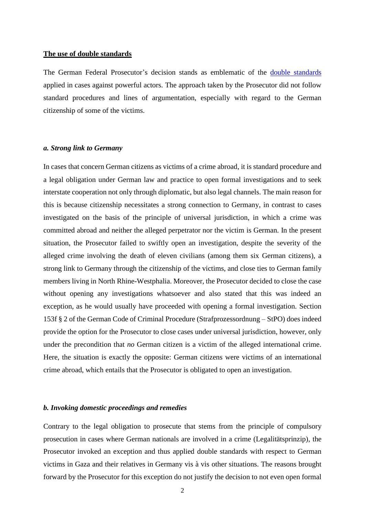#### **The use of double standards**

The German Federal Prosecutor's decision stands as emblematic of the [double standards](https://www.ecchr.eu/en/topic/double-standards/) applied in cases against powerful actors. The approach taken by the Prosecutor did not follow standard procedures and lines of argumentation, especially with regard to the German citizenship of some of the victims.

### *a. Strong link to Germany*

In cases that concern German citizens as victims of a crime abroad, it is standard procedure and a legal obligation under German law and practice to open formal investigations and to seek interstate cooperation not only through diplomatic, but also legal channels. The main reason for this is because citizenship necessitates a strong connection to Germany, in contrast to cases investigated on the basis of the principle of universal jurisdiction, in which a crime was committed abroad and neither the alleged perpetrator nor the victim is German. In the present situation, the Prosecutor failed to swiftly open an investigation, despite the severity of the alleged crime involving the death of eleven civilians (among them six German citizens), a strong link to Germany through the citizenship of the victims, and close ties to German family members living in North Rhine-Westphalia. Moreover, the Prosecutor decided to close the case without opening any investigations whatsoever and also stated that this was indeed an exception, as he would usually have proceeded with opening a formal investigation. Section 153f § 2 of the German Code of Criminal Procedure (Strafprozessordnung – StPO) does indeed provide the option for the Prosecutor to close cases under universal jurisdiction, however, only under the precondition that *no* German citizen is a victim of the alleged international crime. Here, the situation is exactly the opposite: German citizens were victims of an international crime abroad, which entails that the Prosecutor is obligated to open an investigation.

#### *b. Invoking domestic proceedings and remedies*

Contrary to the legal obligation to prosecute that stems from the principle of compulsory prosecution in cases where German nationals are involved in a crime (Legalitätsprinzip), the Prosecutor invoked an exception and thus applied double standards with respect to German victims in Gaza and their relatives in Germany vis à vis other situations. The reasons brought forward by the Prosecutor for this exception do not justify the decision to not even open formal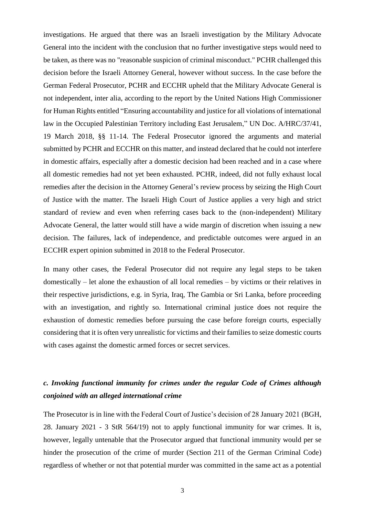investigations. He argued that there was an Israeli investigation by the Military Advocate General into the incident with the conclusion that no further investigative steps would need to be taken, as there was no "reasonable suspicion of criminal misconduct." PCHR challenged this decision before the Israeli Attorney General, however without success. In the case before the German Federal Prosecutor, PCHR and ECCHR upheld that the Military Advocate General is not independent, inter alia, according to the report by the United Nations High Commissioner for Human Rights entitled "Ensuring accountability and justice for all violations of international law in the Occupied Palestinian Territory including East Jerusalem," UN Doc. A/HRC/37/41, 19 March 2018, §§ 11-14. The Federal Prosecutor ignored the arguments and material submitted by PCHR and ECCHR on this matter, and instead declared that he could not interfere in domestic affairs, especially after a domestic decision had been reached and in a case where all domestic remedies had not yet been exhausted. PCHR, indeed, did not fully exhaust local remedies after the decision in the Attorney General's review process by seizing the High Court of Justice with the matter. The Israeli High Court of Justice applies a very high and strict standard of review and even when referring cases back to the (non-independent) Military Advocate General, the latter would still have a wide margin of discretion when issuing a new decision. The failures, lack of independence, and predictable outcomes were argued in an ECCHR expert opinion submitted in 2018 to the Federal Prosecutor.

In many other cases, the Federal Prosecutor did not require any legal steps to be taken domestically – let alone the exhaustion of all local remedies – by victims or their relatives in their respective jurisdictions, e.g. in Syria, Iraq, The Gambia or Sri Lanka, before proceeding with an investigation, and rightly so. International criminal justice does not require the exhaustion of domestic remedies before pursuing the case before foreign courts, especially considering that it is often very unrealistic for victims and their families to seize domestic courts with cases against the domestic armed forces or secret services.

## *c. Invoking functional immunity for crimes under the regular Code of Crimes although conjoined with an alleged international crime*

The Prosecutor is in line with the Federal Court of Justice's decision of 28 January 2021 (BGH, 28. January 2021 - 3 StR 564/19) not to apply functional immunity for war crimes. It is, however, legally untenable that the Prosecutor argued that functional immunity would per se hinder the prosecution of the crime of murder (Section 211 of the German Criminal Code) regardless of whether or not that potential murder was committed in the same act as a potential